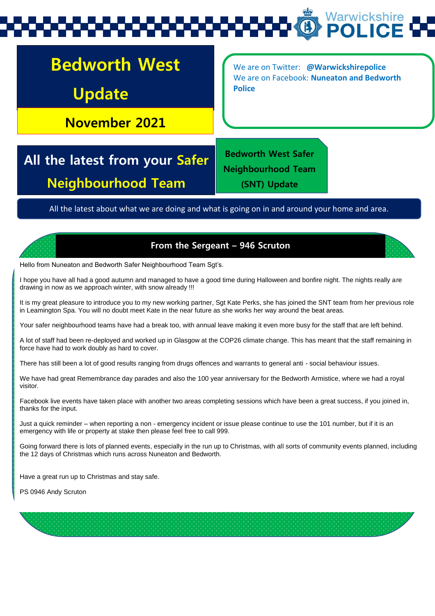# Warwickshire

## **Bedworth West Update**

**November 2021**

We are on Twitter: **@Warwickshirepolice** We are on Facebook: **Nuneaton and Bedworth Police** 

**All the latest from your Safer Neighbourhood Team**

**Bedworth West Safer Neighbourhood Team (SNT) Update** 

All the latest about what we are doing and what is going on in and around your home and area.



**From the Sergeant – 946 Scruton**

Hello from Nuneaton and Bedworth Safer Neighbourhood Team Sgt's.

I hope you have all had a good autumn and managed to have a good time during Halloween and bonfire night. The nights really are drawing in now as we approach winter, with snow already !!!

It is my great pleasure to introduce you to my new working partner, Sgt Kate Perks, she has joined the SNT team from her previous role in Leamington Spa. You will no doubt meet Kate in the near future as she works her way around the beat areas.

Your safer neighbourhood teams have had a break too, with annual leave making it even more busy for the staff that are left behind.

A lot of staff had been re-deployed and worked up in Glasgow at the COP26 climate change. This has meant that the staff remaining in force have had to work doubly as hard to cover.

There has still been a lot of good results ranging from drugs offences and warrants to general anti - social behaviour issues.

We have had great Remembrance day parades and also the 100 year anniversary for the Bedworth Armistice, where we had a royal visitor.

Facebook live events have taken place with another two areas completing sessions which have been a great success, if you joined in, thanks for the input.

Just a quick reminder – when reporting a non - emergency incident or issue please continue to use the 101 number, but if it is an emergency with life or property at stake then please feel free to call 999.

Going forward there is lots of planned events, especially in the run up to Christmas, with all sorts of community events planned, including the 12 days of Christmas which runs across Nuneaton and Bedworth.

Have a great run up to Christmas and stay safe.

PS 0946 Andy Scruton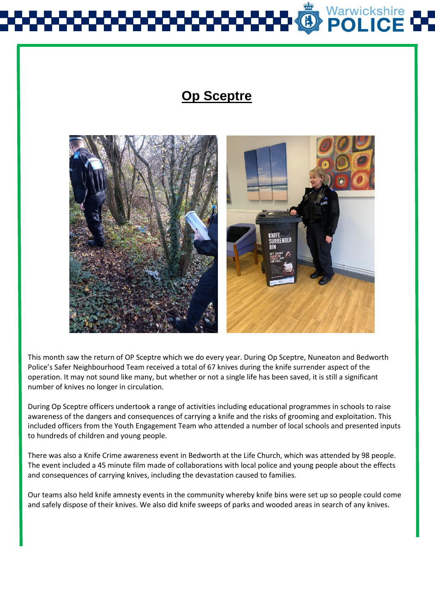## Warwickshire<br>**POLICE**

## **Op Sceptre**



This month saw the return of OP Sceptre which we do every year. During Op Sceptre, Nuneaton and Bedworth Police's Safer Neighbourhood Team received a total of 67 knives during the knife surrender aspect of the operation. It may not sound like many, but whether or not a single life has been saved, it is still a significant number of knives no longer in circulation.

During Op Sceptre officers undertook a range of activities including educational programmes in schools to raise awareness of the dangers and consequences of carrying a knife and the risks of grooming and exploitation. This included officers from the Youth Engagement Team who attended a number of local schools and presented inputs to hundreds of children and young people.

There was also a Knife Crime awareness event in Bedworth at the Life Church, which was attended by 98 people. The event included a 45 minute film made of collaborations with local police and young people about the effects and consequences of carrying knives, including the devastation caused to families.

Our teams also held knife amnesty events in the community whereby knife bins were set up so people could come and safely dispose of their knives. We also did knife sweeps of parks and wooded areas in search of any knives.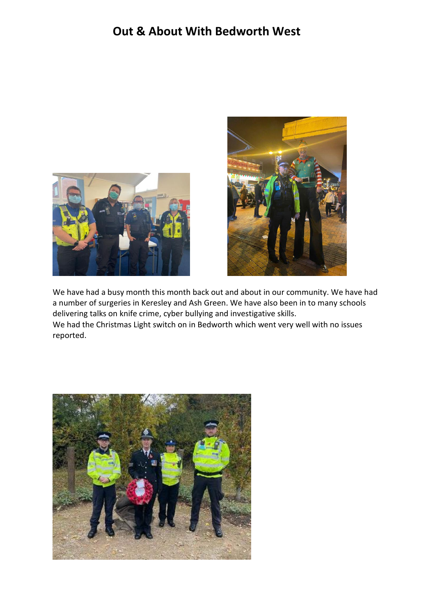### **Out & About With Bedworth West**





We have had a busy month this month back out and about in our community. We have had a number of surgeries in Keresley and Ash Green. We have also been in to many schools delivering talks on knife crime, cyber bullying and investigative skills. We had the Christmas Light switch on in Bedworth which went very well with no issues reported.

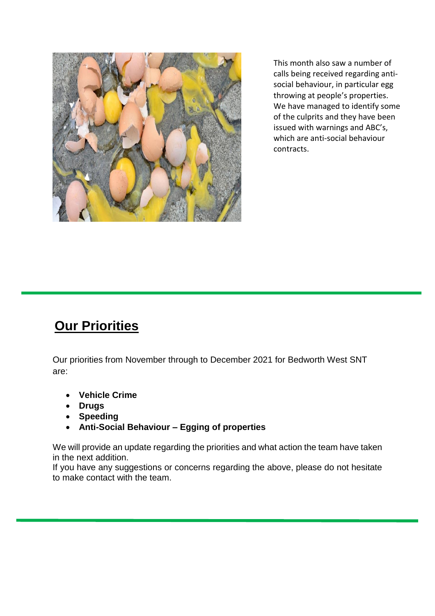

This month also saw a number of calls being received regarding antisocial behaviour, in particular egg throwing at people's properties. We have managed to identify some of the culprits and they have been issued with warnings and ABC's, which are anti-social behaviour contracts.

## **Our Priorities**

Our priorities from November through to December 2021 for Bedworth West SNT are:

- **Vehicle Crime**
- **Drugs**
- **Speeding**
- **Anti-Social Behaviour – Egging of properties**

We will provide an update regarding the priorities and what action the team have taken in the next addition.

If you have any suggestions or concerns regarding the above, please do not hesitate to make contact with the team.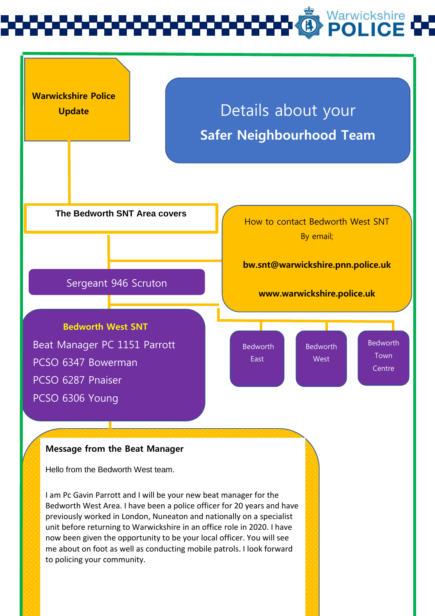## Warwickshire<br>**POLICE**



#### **Message from the Beat Manager**

Hello from the Bedworth West team.

I am Pc Gavin Parrott and I will be your new beat manager for the Bedworth West Area. I have been a police officer for 20 years and have previously worked in London, Nuneaton and nationally on a specialist unit before returning to Warwickshire in an office role in 2020. I have now been given the opportunity to be your local officer. You will see me about on foot as well as conducting mobile patrols. I look forward to policing your community.